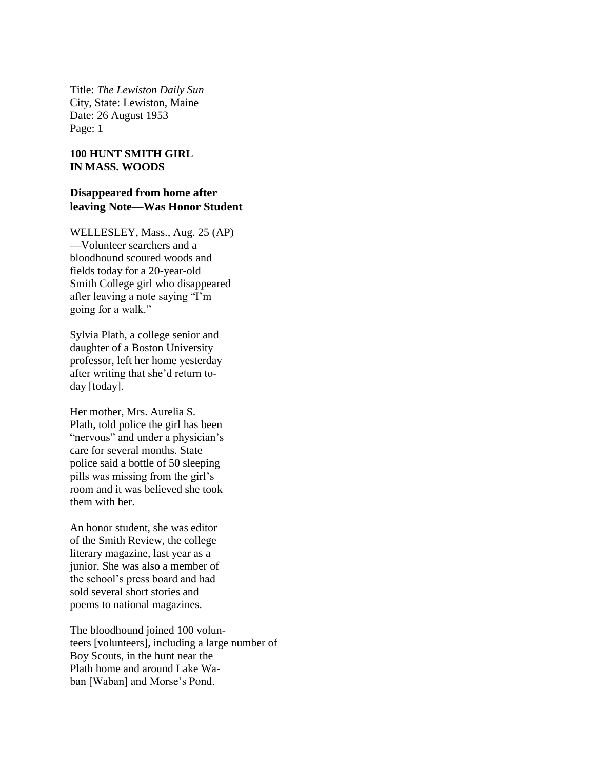Title: *The Lewiston Daily Sun* City, State: Lewiston, Maine Date: 26 August 1953 Page: 1

## **100 HUNT SMITH GIRL IN MASS. WOODS**

## **Disappeared from home after leaving Note—Was Honor Student**

WELLESLEY, Mass., Aug. 25 (AP) —Volunteer searchers and a bloodhound scoured woods and fields today for a 20-year-old Smith College girl who disappeared after leaving a note saying "I'm going for a walk."

Sylvia Plath, a college senior and daughter of a Boston University professor, left her home yesterday after writing that she'd return today [today].

Her mother, Mrs. Aurelia S. Plath, told police the girl has been "nervous" and under a physician's care for several months. State police said a bottle of 50 sleeping pills was missing from the girl's room and it was believed she took them with her.

An honor student, she was editor of the Smith Review, the college literary magazine, last year as a junior. She was also a member of the school's press board and had sold several short stories and poems to national magazines.

The bloodhound joined 100 volunteers [volunteers], including a large number of Boy Scouts, in the hunt near the Plath home and around Lake Waban [Waban] and Morse's Pond.